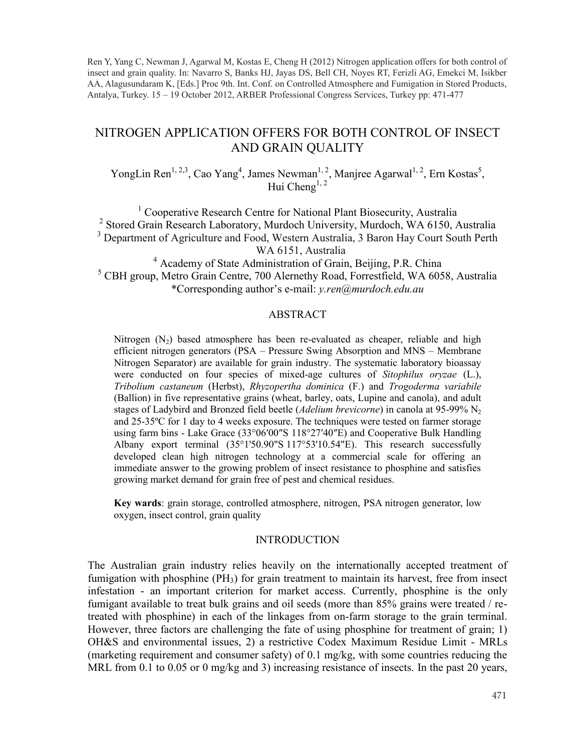Ren Y, Yang C, Newman J, Agarwal M, Kostas E, Cheng H (2012) Nitrogen application offers for both control of insect and grain quality. In: Navarro S, Banks HJ, Jayas DS, Bell CH, Noyes RT, Ferizli AG, Emekci M, Isikber AA, Alagusundaram K, [Eds.] Proc 9th. Int. Conf. on Controlled Atmosphere and Fumigation in Stored Products, Antalya, Turkey. 15 – 19 October 2012, ARBER Professional Congress Services, Turkey pp: 471-477

# NITROGEN APPLICATION OFFERS FOR BOTH CONTROL OF INSECT AND GRAIN QUALITY

YongLin Ren<sup>1, 2,3</sup>, Cao Yang<sup>4</sup>, James Newman<sup>1, 2</sup>, Manjree Agarwal<sup>1, 2</sup>, Ern Kostas<sup>5</sup>, Hui Cheng<sup>1, 2</sup>

<sup>1</sup> Cooperative Research Centre for National Plant Biosecurity, Australia <sup>2</sup> Stored Grain Research Laboratory, Murdoch University, Murdoch, WA 6150, Australia <sup>3</sup> Department of Agriculture and Food, Western Australia, 3 Baron Hay Court South Perth WA 6151, Australia

<sup>4</sup> Academy of State Administration of Grain, Beijing, P.R. China <sup>5</sup> CBH group, Metro Grain Centre, 700 Alernethy Road, Forrestfield, WA 6058, Australia \*Corresponding author's e-mail: *y.ren@murdoch.edu.au*

### ABSTRACT

Nitrogen  $(N_2)$  based atmosphere has been re-evaluated as cheaper, reliable and high efficient nitrogen generators (PSA – Pressure Swing Absorption and MNS – Membrane Nitrogen Separator) are available for grain industry. The systematic laboratory bioassay were conducted on four species of mixed-age cultures of *Sitophilus oryzae* (L.), *Tribolium castaneum* (Herbst), *Rhyzopertha dominica* (F.) and *Trogoderma variabile*  (Ballion) in five representative grains (wheat, barley, oats, Lupine and canola), and adult stages of Ladybird and Bronzed field beetle (*Adelium brevicorne*) in canola at 95-99% N<sub>2</sub> and 25-35ºC for 1 day to 4 weeks exposure. The techniques were tested on farmer storage using farm bins - Lake Grace (33°06'00"S 118°27'40"E) and Cooperative Bulk Handling Albany export terminal (35°1'50.90"S 117°53'10.54"E). This research successfully developed clean high nitrogen technology at a commercial scale for offering an immediate answer to the growing problem of insect resistance to phosphine and satisfies growing market demand for grain free of pest and chemical residues.

**Key wards**: grain storage, controlled atmosphere, nitrogen, PSA nitrogen generator, low oxygen, insect control, grain quality

#### **INTRODUCTION**

The Australian grain industry relies heavily on the internationally accepted treatment of fumigation with phosphine (PH<sub>3</sub>) for grain treatment to maintain its harvest, free from insect infestation - an important criterion for market access. Currently, phosphine is the only fumigant available to treat bulk grains and oil seeds (more than 85% grains were treated / retreated with phosphine) in each of the linkages from on-farm storage to the grain terminal. However, three factors are challenging the fate of using phosphine for treatment of grain; 1) OH&S and environmental issues, 2) a restrictive Codex Maximum Residue Limit - MRLs (marketing requirement and consumer safety) of 0.1 mg/kg, with some countries reducing the MRL from 0.1 to 0.05 or 0 mg/kg and 3) increasing resistance of insects. In the past 20 years,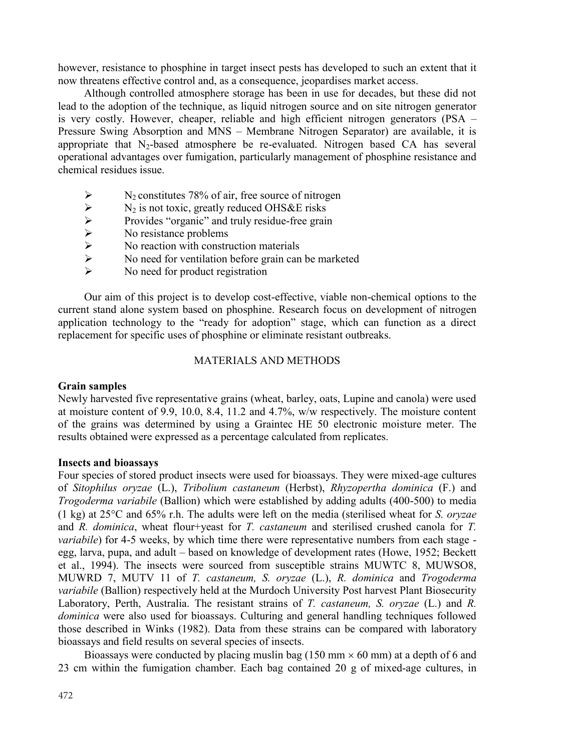however, resistance to phosphine in target insect pests has developed to such an extent that it now threatens effective control and, as a consequence, jeopardises market access.

Although controlled atmosphere storage has been in use for decades, but these did not lead to the adoption of the technique, as liquid nitrogen source and on site nitrogen generator is very costly. However, cheaper, reliable and high efficient nitrogen generators (PSA – Pressure Swing Absorption and MNS – Membrane Nitrogen Separator) are available, it is appropriate that  $N_2$ -based atmosphere be re-evaluated. Nitrogen based CA has several operational advantages over fumigation, particularly management of phosphine resistance and chemical residues issue.

- 
- $N_2$  is not toxic, greatly reduced OHS&E risks
- Provides "organic" and truly residue-free grain
- No resistance problems
- No reaction with construction materials
- N<sub>2</sub> constitutes 78% of air, free source of nitrogen<br>
N<sub>2</sub> is not toxic, greatly reduced OHS&E risks<br>
Provides "organic" and truly residue-free grain<br>
No resistance problems<br>
No reaction with construction materials<br>
No ne No need for ventilation before grain can be marketed
- No need for product registration

Our aim of this project is to develop cost-effective, viable non-chemical options to the current stand alone system based on phosphine. Research focus on development of nitrogen application technology to the "ready for adoption" stage, which can function as a direct replacement for specific uses of phosphine or eliminate resistant outbreaks.

## MATERIALS AND METHODS

## **Grain samples**

Newly harvested five representative grains (wheat, barley, oats, Lupine and canola) were used at moisture content of 9.9, 10.0, 8.4, 11.2 and 4.7%, w/w respectively. The moisture content of the grains was determined by using a Graintec HE 50 electronic moisture meter. The results obtained were expressed as a percentage calculated from replicates.

## **Insects and bioassays**

Four species of stored product insects were used for bioassays. They were mixed-age cultures of *Sitophilus oryzae* (L.), *Tribolium castaneum* (Herbst), *Rhyzopertha dominica* (F.) and *Trogoderma variabile* (Ballion) which were established by adding adults (400-500) to media (1 kg) at  $25^{\circ}$ C and  $65\%$  r.h. The adults were left on the media (sterilised wheat for *S. oryzae* and *R. dominica*, wheat flour+yeast for *T. castaneum* and sterilised crushed canola for *T. variabile*) for 4-5 weeks, by which time there were representative numbers from each stage egg, larva, pupa, and adult – based on knowledge of development rates (Howe, 1952; Beckett et al., 1994). The insects were sourced from susceptible strains MUWTC 8, MUWSO8, MUWRD 7, MUTV 11 of *T. castaneum, S. oryzae* (L.), *R. dominica* and *Trogoderma variabile* (Ballion) respectively held at the Murdoch University Post harvest Plant Biosecurity Laboratory, Perth, Australia. The resistant strains of *T. castaneum, S. oryzae* (L.) and *R. dominica* were also used for bioassays. Culturing and general handling techniques followed those described in Winks (1982). Data from these strains can be compared with laboratory bioassays and field results on several species of insects.

Bioassays were conducted by placing muslin bag  $(150 \text{ mm} \times 60 \text{ mm})$  at a depth of 6 and 23 cm within the fumigation chamber. Each bag contained 20 g of mixed-age cultures, in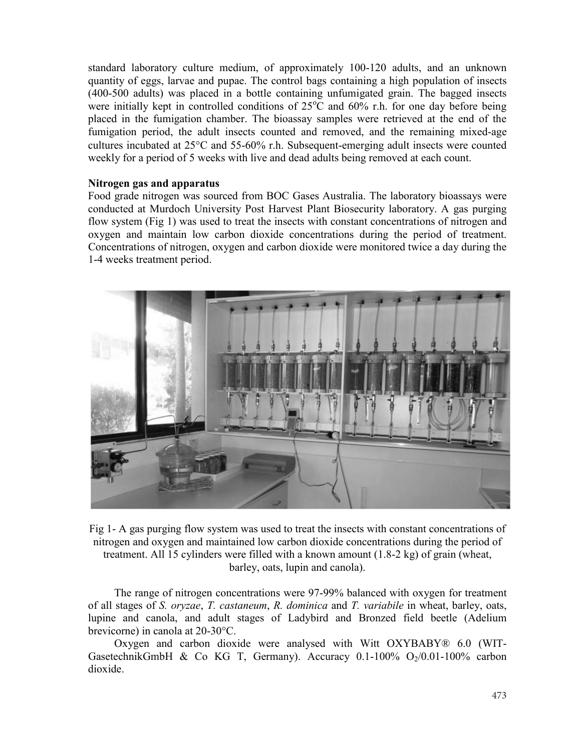standard laboratory culture medium, of approximately 100-120 adults, and an unknown quantity of eggs, larvae and pupae. The control bags containing a high population of insects (400-500 adults) was placed in a bottle containing unfumigated grain. The bagged insects were initially kept in controlled conditions of  $25^{\circ}$ C and  $60\%$  r.h. for one day before being placed in the fumigation chamber. The bioassay samples were retrieved at the end of the fumigation period, the adult insects counted and removed, and the remaining mixed-age cultures incubated at  $25^{\circ}$ C and  $55-60\%$  r.h. Subsequent-emerging adult insects were counted weekly for a period of 5 weeks with live and dead adults being removed at each count.

### **Nitrogen gas and apparatus**

Food grade nitrogen was sourced from BOC Gases Australia. The laboratory bioassays were conducted at Murdoch University Post Harvest Plant Biosecurity laboratory. A gas purging flow system (Fig 1) was used to treat the insects with constant concentrations of nitrogen and oxygen and maintain low carbon dioxide concentrations during the period of treatment. Concentrations of nitrogen, oxygen and carbon dioxide were monitored twice a day during the 1-4 weeks treatment period.



Fig 1- A gas purging flow system was used to treat the insects with constant concentrations of nitrogen and oxygen and maintained low carbon dioxide concentrations during the period of treatment. All 15 cylinders were filled with a known amount (1.8-2 kg) of grain (wheat, barley, oats, lupin and canola).

The range of nitrogen concentrations were 97-99% balanced with oxygen for treatment of all stages of *S. oryzae*, *T. castaneum*, *R. dominica* and *T. variabile* in wheat, barley, oats, lupine and canola, and adult stages of Ladybird and Bronzed field beetle (Adelium brevicorne) in canola at 20-30°C.

Oxygen and carbon dioxide were analysed with Witt OXYBABY® 6.0 (WIT-GasetechnikGmbH & Co KG T, Germany). Accuracy  $0.1-100\%$  O<sub>2</sub>/0.01-100% carbon dioxide.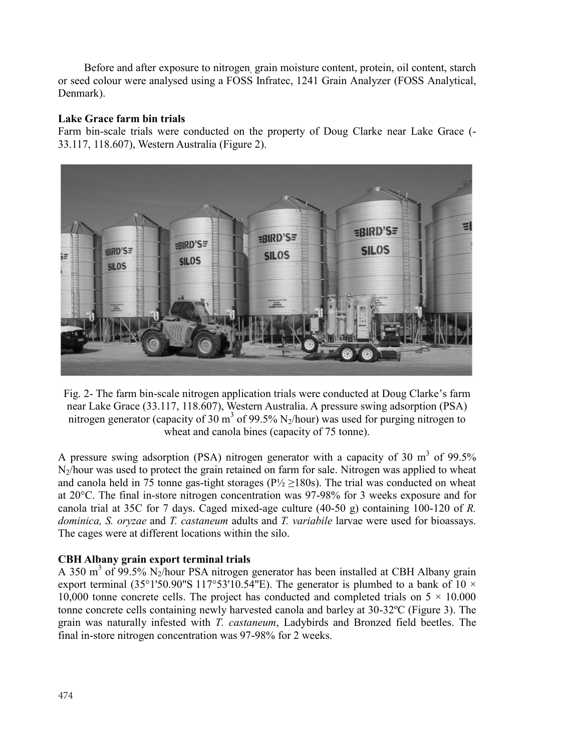Before and after exposure to nitrogen, grain moisture content, protein, oil content, starch or seed colour were analysed using a FOSS Infratec, 1241 Grain Analyzer (FOSS Analytical, Denmark).

## **Lake Grace farm bin trials**

Farm bin-scale trials were conducted on the property of Doug Clarke near Lake Grace (- 33.117, 118.607), Western Australia (Figure 2).



Fig. 2- The farm bin-scale nitrogen application trials were conducted at Doug Clarke's farm near Lake Grace (33.117, 118.607), Western Australia. A pressure swing adsorption (PSA) nitrogen generator (capacity of 30  $\text{m}^3$  of 99.5% N<sub>2</sub>/hour) was used for purging nitrogen to wheat and canola bines (capacity of 75 tonne).

A pressure swing adsorption (PSA) nitrogen generator with a capacity of 30  $m<sup>3</sup>$  of 99.5% N2/hour was used to protect the grain retained on farm for sale. Nitrogen was applied to wheat and canola held in 75 tonne gas-tight storages ( $P\frac{1}{2} \ge 180$ s). The trial was conducted on wheat at  $20^{\circ}$ C. The final in-store nitrogen concentration was 97-98% for 3 weeks exposure and for canola trial at 35C for 7 days. Caged mixed-age culture (40-50 g) containing 100-120 of *R. dominica, S. oryzae* and *T. castaneum* adults and *T. variabile* larvae were used for bioassays. The cages were at different locations within the silo.

## **CBH Albany grain export terminal trials**

A 350 m<sup>3</sup> of 99.5% N<sub>2</sub>/hour PSA nitrogen generator has been installed at CBH Albany grain export terminal (35°1'50.90"S 117°53'10.54"E). The generator is plumbed to a bank of 10  $\times$ 10,000 tonne concrete cells. The project has conducted and completed trials on  $5 \times 10,000$ tonne concrete cells containing newly harvested canola and barley at  $30-32$ °C (Figure 3). The grain was naturally infested with *T. castaneum*, Ladybirds and Bronzed field beetles. The final in-store nitrogen concentration was 97-98% for 2 weeks.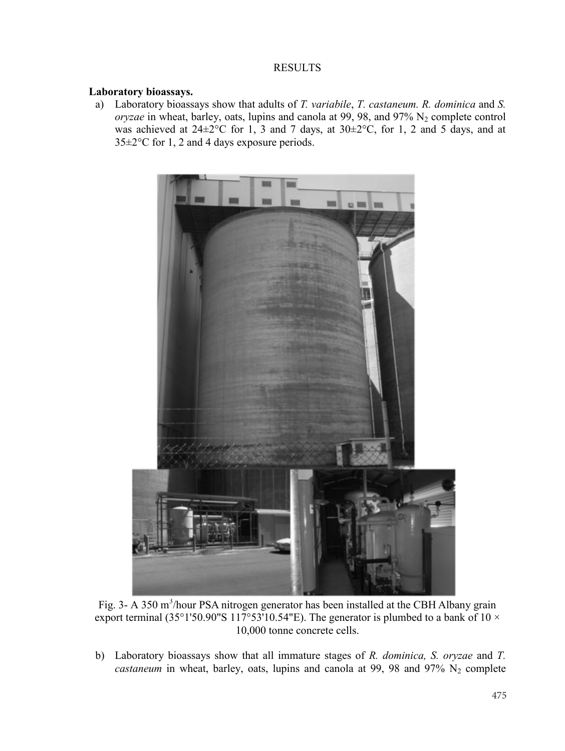### RESULTS

### **Laboratory bioassays.**

a) Laboratory bioassays show that adults of *T. variabile*, *T. castaneum. R. dominica* and *S. in wheat, barley, oats, lupins and canola at 99, 98, and 97%*  $N_2$  *complete control* was achieved at  $24\pm2^{\circ}$ C for 1, 3 and 7 days, at  $30\pm2^{\circ}$ C, for 1, 2 and 5 days, and at 35±2°C for 1, 2 and 4 days exposure periods.



Fig. 3- A 350 m<sup>3</sup>/hour PSA nitrogen generator has been installed at the CBH Albany grain export terminal (35°1'50.90"S 117°53'10.54"E). The generator is plumbed to a bank of 10  $\times$ 10,000 tonne concrete cells.

b) Laboratory bioassays show that all immature stages of *R. dominica, S. oryzae* and *T. castaneum* in wheat, barley, oats, lupins and canola at 99, 98 and 97%  $N_2$  complete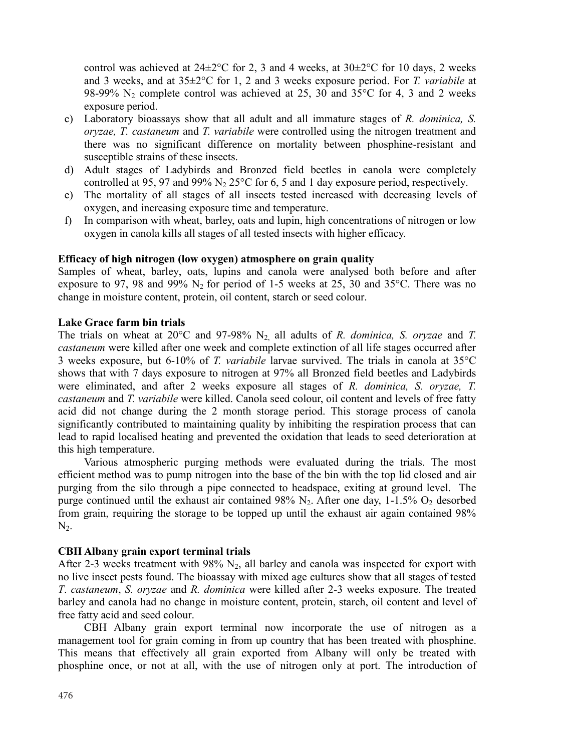control was achieved at  $24\pm2\degree$ C for 2, 3 and 4 weeks, at  $30\pm2\degree$ C for 10 days. 2 weeks and 3 weeks, and at 35±2°C for 1, 2 and 3 weeks exposure period. For *T. variabile* at 98-99%  $N_2$  complete control was achieved at 25, 30 and 35°C for 4, 3 and 2 weeks exposure period.

- c) Laboratory bioassays show that all adult and all immature stages of *R. dominica, S. oryzae, T. castaneum* and *T. variabile* were controlled using the nitrogen treatment and there was no significant difference on mortality between phosphine-resistant and susceptible strains of these insects.
- d) Adult stages of Ladybirds and Bronzed field beetles in canola were completely controlled at 95, 97 and 99% N<sub>2</sub> 25 $\degree$ C for 6, 5 and 1 day exposure period, respectively.
- e) The mortality of all stages of all insects tested increased with decreasing levels of oxygen, and increasing exposure time and temperature.
- f) In comparison with wheat, barley, oats and lupin, high concentrations of nitrogen or low oxygen in canola kills all stages of all tested insects with higher efficacy.

### **Efficacy of high nitrogen (low oxygen) atmosphere on grain quality**

Samples of wheat, barley, oats, lupins and canola were analysed both before and after exposure to 97, 98 and 99%  $N_2$  for period of 1-5 weeks at 25, 30 and 35 $^{\circ}$ C. There was no change in moisture content, protein, oil content, starch or seed colour.

### **Lake Grace farm bin trials**

The trials on wheat at 20 $\degree$ C and 97-98% N<sub>2</sub> all adults of *R. dominica, S. oryzae* and *T. castaneum* were killed after one week and complete extinction of all life stages occurred after 3 weeks exposure, but 6-10% of *T. variabile* larvae survived. The trials in canola at 35°C shows that with 7 days exposure to nitrogen at 97% all Bronzed field beetles and Ladybirds were eliminated, and after 2 weeks exposure all stages of *R. dominica, S. oryzae, T. castaneum* and *T. variabile* were killed. Canola seed colour, oil content and levels of free fatty acid did not change during the 2 month storage period. This storage process of canola significantly contributed to maintaining quality by inhibiting the respiration process that can lead to rapid localised heating and prevented the oxidation that leads to seed deterioration at this high temperature.

Various atmospheric purging methods were evaluated during the trials. The most efficient method was to pump nitrogen into the base of the bin with the top lid closed and air purging from the silo through a pipe connected to headspace, exiting at ground level. The purge continued until the exhaust air contained 98%  $N_2$ . After one day, 1-1.5%  $O_2$  desorbed from grain, requiring the storage to be topped up until the exhaust air again contained 98%  $N<sub>2</sub>$ .

## **CBH Albany grain export terminal trials**

After 2-3 weeks treatment with  $98\%$  N<sub>2</sub>, all barley and canola was inspected for export with no live insect pests found. The bioassay with mixed age cultures show that all stages of tested *T*. *castaneum*, *S. oryzae* and *R. dominica* were killed after 2-3 weeks exposure. The treated barley and canola had no change in moisture content, protein, starch, oil content and level of free fatty acid and seed colour.

CBH Albany grain export terminal now incorporate the use of nitrogen as a management tool for grain coming in from up country that has been treated with phosphine. This means that effectively all grain exported from Albany will only be treated with phosphine once, or not at all, with the use of nitrogen only at port. The introduction of